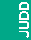



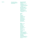**Supporters Supporters Judd Foundation is thankful** to our generous supporters who donated between July 1st, 2019 and June 30th, 2020

## Government & Foundations

The Brown Foundation, Inc. City of Marfa City of New York Department of Cultural Affairs Dyett-Richardson Family Fund The Hart Family Fund for Small Towns of the National Trust for Historic **Preservation** James Howell Foundation Inc. Maurer Family Foundation National Endowment for the Arts New York City Council Member Margaret Chin Pritchard Family Foundation Schleicher Family Fund Texas Commission on the Arts The Alice M. and Thomas J. Tisch Foundation, Inc.

## **Corporate**

Aesop Artek Casa Dragones Crane & Co. Exhibitions 2D Füssinger & Wolff GmbH Galería Elvira González Goodman Taft inde/jacobs Gallery Morris Adjmi Architects Mohawk Fine Papers Inc. Richard's Rainwater Select Equity Group Suzanne Tick Inc. Worth Art Advisory LLC

## Patrons

Bob and Nora Ackerley Brooke Alexander Greti Baez Robert Bates Spencer Brownstone Barbara Castelli Alexandra Chemla Eileen and Michael Cohen Sierra Emeis Mrs. Donald G. Fisher Roni Horn Dana and Gregory Lee Tammy and Jay Levine Carol LeWitt Linda Lynch Fred Martens and Anne Dette Colt Melton and Manuel Navarro Jon Otis and Diane Barnes Viveca Paulin-Ferrell and Will Ferrell Dan Perry and Ashlyn Perry Steve Pulimood **Michael Quigley** Annabelle Selldorf Michael S. and Philippa B. Straus Ann Tenenbaum and Thomas H. Lee Robert and Annabelle Tiemann Anonymous